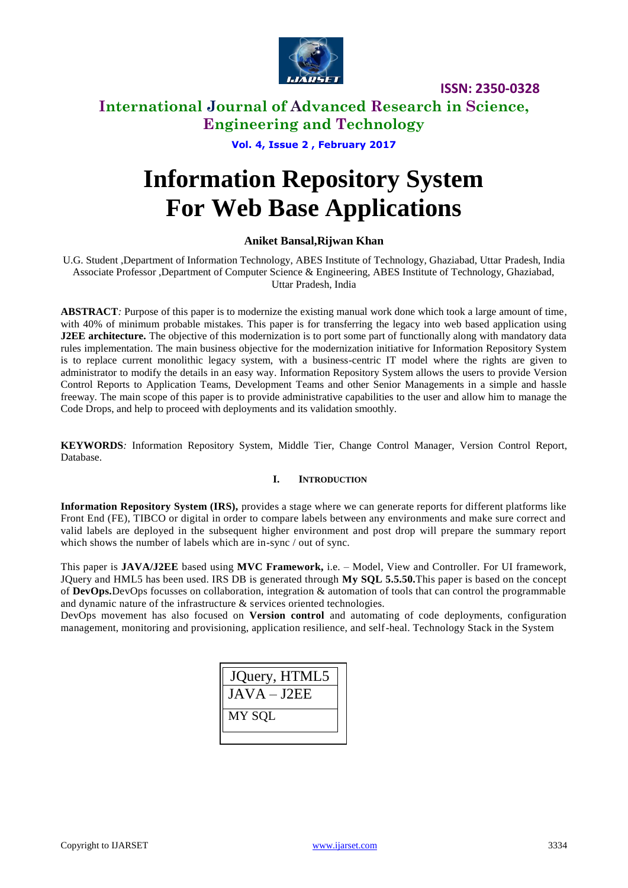

# **International Journal of Advanced Research in Science, Engineering and Technology**

**Vol. 4, Issue 2 , February 2017**

# **Information Repository System For Web Base Applications**

### **Aniket Bansal,Rijwan Khan**

U.G. Student ,Department of Information Technology, ABES Institute of Technology, Ghaziabad, Uttar Pradesh, India Associate Professor ,Department of Computer Science & Engineering, ABES Institute of Technology, Ghaziabad, Uttar Pradesh, India

**ABSTRACT***:* Purpose of this paper is to modernize the existing manual work done which took a large amount of time, with 40% of minimum probable mistakes. This paper is for transferring the legacy into web based application using **J2EE architecture.** The objective of this modernization is to port some part of functionally along with mandatory data rules implementation. The main business objective for the modernization initiative for Information Repository System is to replace current monolithic legacy system, with a business-centric IT model where the rights are given to administrator to modify the details in an easy way. Information Repository System allows the users to provide Version Control Reports to Application Teams, Development Teams and other Senior Managements in a simple and hassle freeway. The main scope of this paper is to provide administrative capabilities to the user and allow him to manage the Code Drops, and help to proceed with deployments and its validation smoothly.

**KEYWORDS***:* Information Repository System, Middle Tier, Change Control Manager, Version Control Report, Database.

### **I. INTRODUCTION**

**Information Repository System (IRS),** provides a stage where we can generate reports for different platforms like Front End (FE), TIBCO or digital in order to compare labels between any environments and make sure correct and valid labels are deployed in the subsequent higher environment and post drop will prepare the summary report which shows the number of labels which are in-sync / out of sync.

This paper is **JAVA/J2EE** based using **MVC Framework,** i.e. – Model, View and Controller. For UI framework, JQuery and HML5 has been used. IRS DB is generated through **My SQL 5.5.50.**This paper is based on the concept of **DevOps.**DevOps focusses on collaboration, integration & automation of tools that can control the programmable and dynamic nature of the infrastructure & services oriented technologies.

DevOps movement has also focused on **Version control** and automating of code deployments, configuration management, monitoring and provisioning, application resilience, and self-heal. Technology Stack in the System

| JQuery, HTML5 |
|---------------|
| $JAVA - J2EE$ |
| MY SQL        |
|               |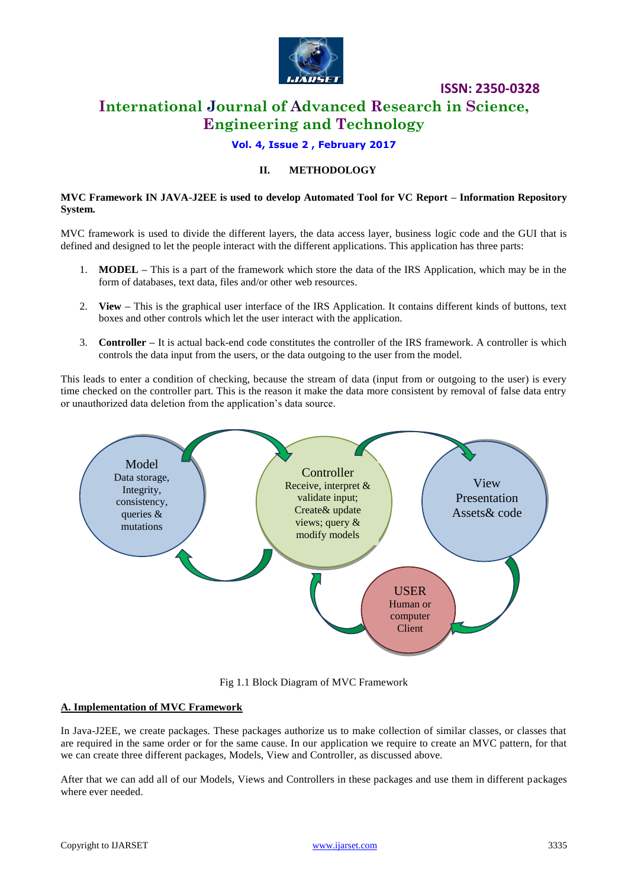

# **International Journal of Advanced Research in Science, Engineering and Technology**

# **Vol. 4, Issue 2 , February 2017**

### **II. METHODOLOGY**

#### **MVC Framework IN JAVA-J2EE is used to develop Automated Tool for VC Report – Information Repository System.**

MVC framework is used to divide the different layers, the data access layer, business logic code and the GUI that is defined and designed to let the people interact with the different applications. This application has three parts:

- 1. **MODEL –** This is a part of the framework which store the data of the IRS Application, which may be in the form of databases, text data, files and/or other web resources.
- 2. **View –** This is the graphical user interface of the IRS Application. It contains different kinds of buttons, text boxes and other controls which let the user interact with the application.
- 3. **Controller –** It is actual back-end code constitutes the controller of the IRS framework. A controller is which controls the data input from the users, or the data outgoing to the user from the model.

This leads to enter a condition of checking, because the stream of data (input from or outgoing to the user) is every time checked on the controller part. This is the reason it make the data more consistent by removal of false data entry or unauthorized data deletion from the application's data source.



Fig 1.1 Block Diagram of MVC Framework

### **A. Implementation of MVC Framework**

In Java-J2EE, we create packages. These packages authorize us to make collection of similar classes, or classes that are required in the same order or for the same cause. In our application we require to create an MVC pattern, for that we can create three different packages, Models, View and Controller, as discussed above.

After that we can add all of our Models, Views and Controllers in these packages and use them in different packages where ever needed.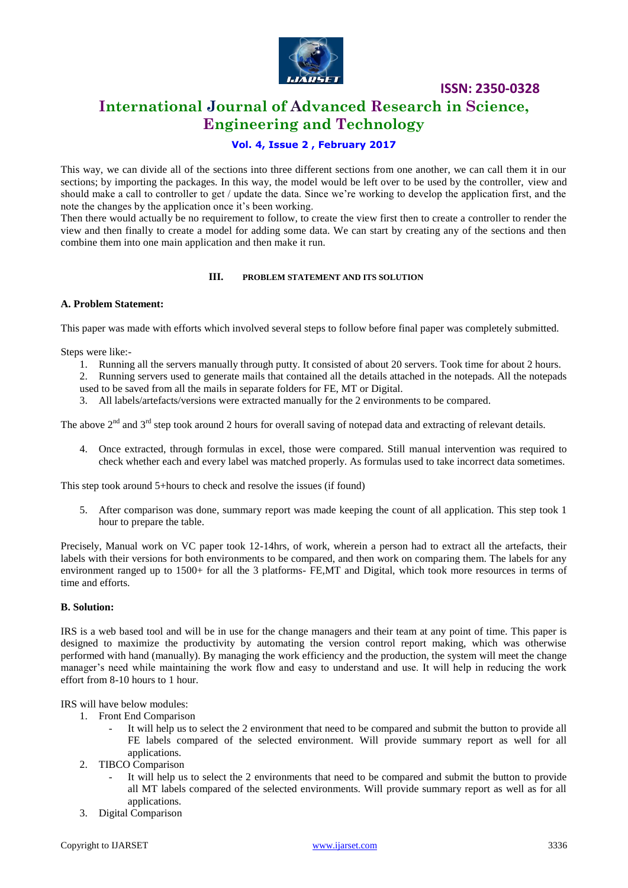

# **International Journal of Advanced Research in Science, Engineering and Technology**

# **Vol. 4, Issue 2 , February 2017**

This way, we can divide all of the sections into three different sections from one another, we can call them it in our sections; by importing the packages. In this way, the model would be left over to be used by the controller, view and should make a call to controller to get / update the data. Since we're working to develop the application first, and the note the changes by the application once it's been working.

Then there would actually be no requirement to follow, to create the view first then to create a controller to render the view and then finally to create a model for adding some data. We can start by creating any of the sections and then combine them into one main application and then make it run.

### **III. PROBLEM STATEMENT AND ITS SOLUTION**

#### **A. Problem Statement:**

This paper was made with efforts which involved several steps to follow before final paper was completely submitted.

Steps were like:-

- 1. Running all the servers manually through putty. It consisted of about 20 servers. Took time for about 2 hours.
- 2. Running servers used to generate mails that contained all the details attached in the notepads. All the notepads
- used to be saved from all the mails in separate folders for FE, MT or Digital.
- 3. All labels/artefacts/versions were extracted manually for the 2 environments to be compared.

The above  $2<sup>nd</sup>$  and  $3<sup>rd</sup>$  step took around 2 hours for overall saving of notepad data and extracting of relevant details.

4. Once extracted, through formulas in excel, those were compared. Still manual intervention was required to check whether each and every label was matched properly. As formulas used to take incorrect data sometimes.

This step took around 5+hours to check and resolve the issues (if found)

5. After comparison was done, summary report was made keeping the count of all application. This step took 1 hour to prepare the table.

Precisely, Manual work on VC paper took 12-14hrs, of work, wherein a person had to extract all the artefacts, their labels with their versions for both environments to be compared, and then work on comparing them. The labels for any environment ranged up to 1500+ for all the 3 platforms- FE,MT and Digital, which took more resources in terms of time and efforts.

#### **B. Solution:**

IRS is a web based tool and will be in use for the change managers and their team at any point of time. This paper is designed to maximize the productivity by automating the version control report making, which was otherwise performed with hand (manually). By managing the work efficiency and the production, the system will meet the change manager's need while maintaining the work flow and easy to understand and use. It will help in reducing the work effort from 8-10 hours to 1 hour.

IRS will have below modules:

- 1. Front End Comparison
	- It will help us to select the 2 environment that need to be compared and submit the button to provide all FE labels compared of the selected environment. Will provide summary report as well for all applications.
- 2. TIBCO Comparison
	- It will help us to select the 2 environments that need to be compared and submit the button to provide all MT labels compared of the selected environments. Will provide summary report as well as for all applications.
- 3. Digital Comparison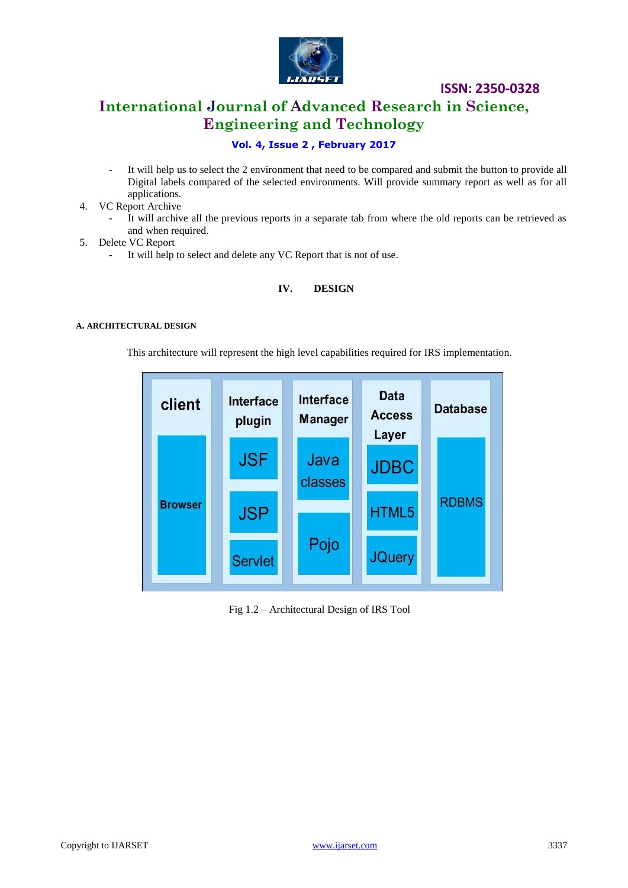

# **International Journal of Advanced Research in Science, Engineering and Technology**

# **Vol. 4, Issue 2 , February 2017**

- It will help us to select the 2 environment that need to be compared and submit the button to provide all Digital labels compared of the selected environments. Will provide summary report as well as for all applications.
- 4. VC Report Archive
	- It will archive all the previous reports in a separate tab from where the old reports can be retrieved as and when required.
- 5. Delete VC Report
	- It will help to select and delete any VC Report that is not of use.

# **IV. DESIGN**

#### **A. ARCHITECTURAL DESIGN**

This architecture will represent the high level capabilities required for IRS implementation.



Fig 1.2 – Architectural Design of IRS Tool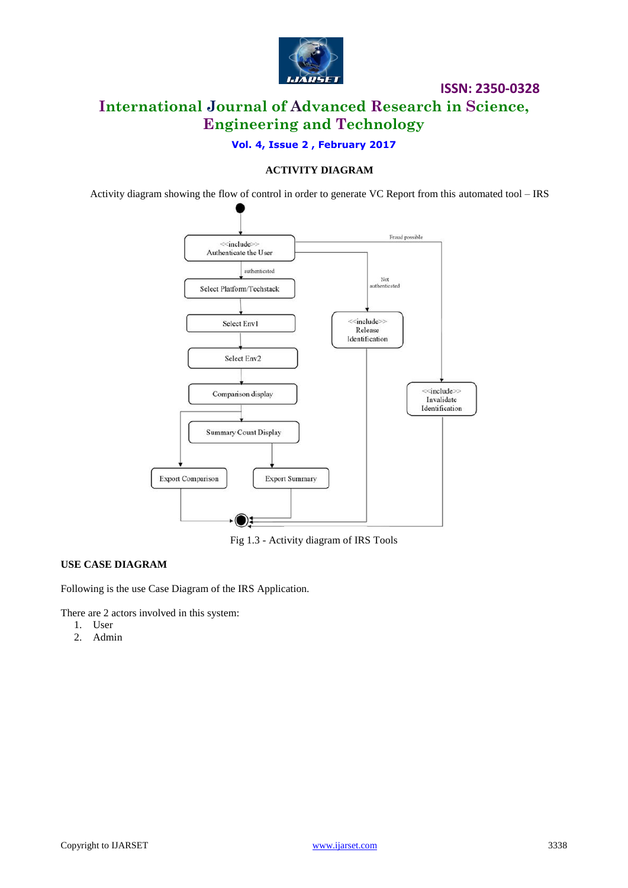

**ISSN: 2350-0328 International Journal of Advanced Research in Science, Engineering and Technology**

**Vol. 4, Issue 2 , February 2017**

### **ACTIVITY DIAGRAM**

Activity diagram showing the flow of control in order to generate VC Report from this automated tool – IRS



Fig 1.3 - Activity diagram of IRS Tools

### **USE CASE DIAGRAM**

Following is the use Case Diagram of the IRS Application.

There are 2 actors involved in this system:

- 1. User
- 2. Admin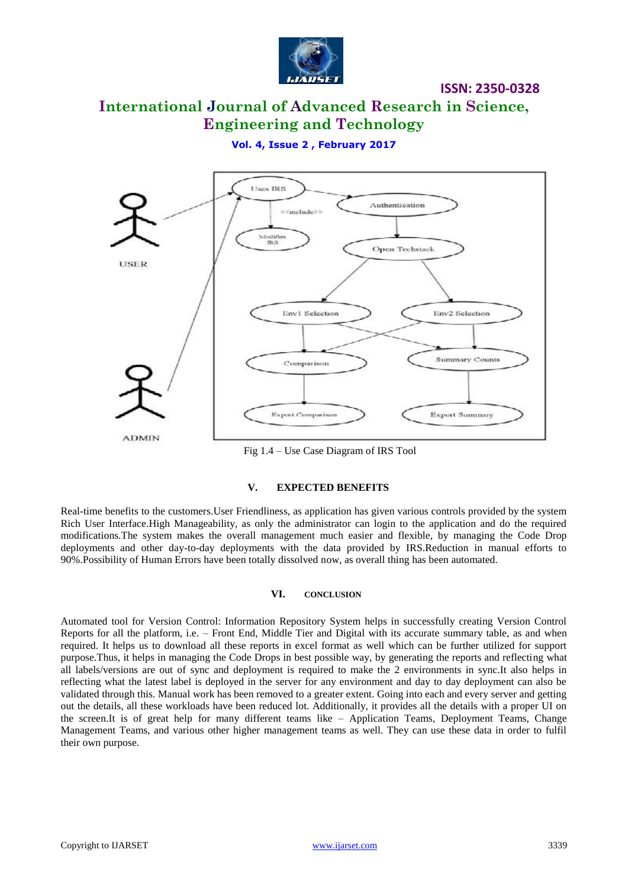

# **International Journal of Advanced Research in Science, Engineering and Technology**

### **Vol. 4, Issue 2 , February 2017**



Fig 1.4 – Use Case Diagram of IRS Tool

### **V. EXPECTED BENEFITS**

Real-time benefits to the customers.User Friendliness, as application has given various controls provided by the system Rich User Interface.High Manageability, as only the administrator can login to the application and do the required modifications.The system makes the overall management much easier and flexible, by managing the Code Drop deployments and other day-to-day deployments with the data provided by IRS.Reduction in manual efforts to 90%.Possibility of Human Errors have been totally dissolved now, as overall thing has been automated.

### **VI. CONCLUSION**

Automated tool for Version Control: Information Repository System helps in successfully creating Version Control Reports for all the platform, i.e. – Front End, Middle Tier and Digital with its accurate summary table, as and when required. It helps us to download all these reports in excel format as well which can be further utilized for support purpose.Thus, it helps in managing the Code Drops in best possible way, by generating the reports and reflecting what all labels/versions are out of sync and deployment is required to make the 2 environments in sync.It also helps in reflecting what the latest label is deployed in the server for any environment and day to day deployment can also be validated through this. Manual work has been removed to a greater extent. Going into each and every server and getting out the details, all these workloads have been reduced lot. Additionally, it provides all the details with a proper UI on the screen.It is of great help for many different teams like – Application Teams, Deployment Teams, Change Management Teams, and various other higher management teams as well. They can use these data in order to fulfil their own purpose.